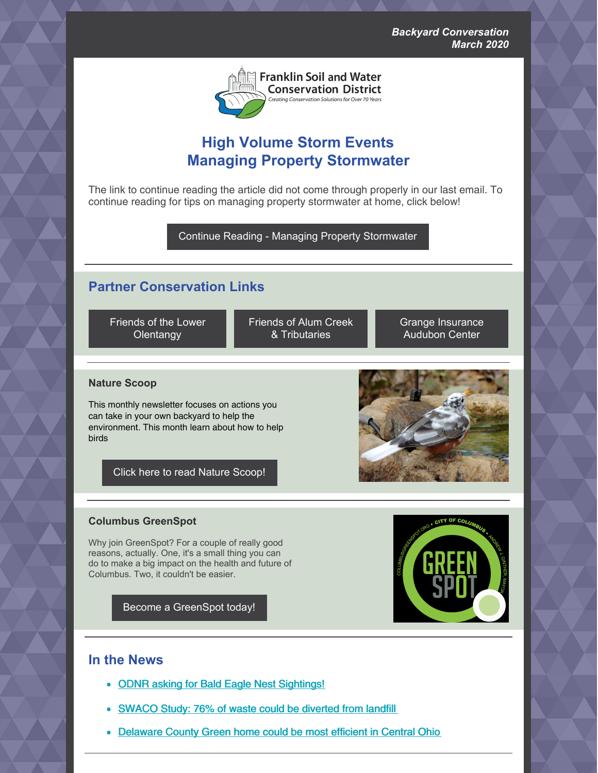

# **High Volume Storm Events Managing Property Stormwater**

The link to continue reading the article did not come through properly in our last email. To continue reading for tips on managing property stormwater at home, click below!

Continue Reading - Managing Property [Stormwater](https://www.franklinswcd.org/backyard-conversation)

## **Partner Conservation Links**

Friends of the Lower **[Olentangy](https://www.olentangywatershed.org/)** 

Friends of Alum Creek & [Tributaries](http://friendsofalumcreek.org/)

Grange [Insurance](https://grange.audubon.org/) Audubon Center

## **Nature Scoop**

This monthly newsletter focuses on actions you can take in your own backyard to help the environment. This month learn about how to help birds

Click here to read Nature [Scoop!](https://us8.campaign-archive.com/?u=cf8f05d7863877ebddbf726b7&id=7caf66ceab)

## **Columbus GreenSpot**

Why join GreenSpot? For a couple of really good reasons, actually. One, it's a small thing you can do to make a big impact on the health and future of Columbus. Two, it couldn't be easier.

Become a [GreenSpot](https://www.columbus.gov/greenspot/) today!

## **In the News**

- ODNR asking for Bald Eagle Nest [Sightings!](http://wildlife.ohiodnr.gov/species-and-habitats/report-wildlife-sightings/bald-eagle-nests)
- [SWACO](https://www.swaco.org/CivicAlerts.aspx?AID=133) Study: 76% of waste could be diverted from landfill
- [Delaware](https://www.dispatch.com/homes/20200301/new-delaware-county-green-home-could-be-one-of-most-efficient-in-central-ohio) County Green home could be most efficient in Central Ohio